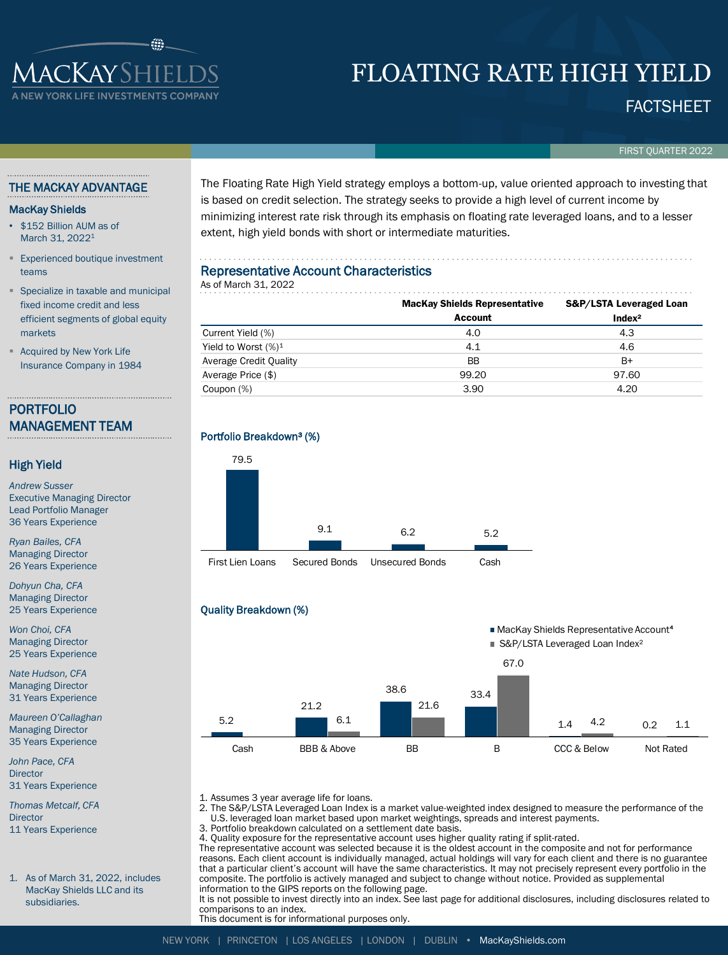## **ACKAYSHIEI** YORK LIFE INVESTMENTS COI

# FLOATING RATE HIGH YIELD

### FACTSHEET

FIRST QUARTER 2022

#### THE MACKAY ADVANTAGE

#### MacKay Shields

- \$152 Billion AUM as of March 31, 2022<sup>1</sup>
- **Experienced boutique investment** teams
- Specialize in taxable and municipal fixed income credit and less efficient segments of global equity markets

**Acquired by New York Life** Insurance Company in 1984

### PORTFOLIO MANAGEMENT TEAM

#### High Yield

*Andrew Susser* Executive Managing Director Lead Portfolio Manager 36 Years Experience

*Ryan Bailes, CFA* Managing Director 26 Years Experience

*Dohyun Cha, CFA* Managing Director 25 Years Experience

*Won Choi, CFA* Managing Director 25 Years Experience

*Nate Hudson, CFA* Managing Director 31 Years Experience

*Maureen O'Callaghan* Managing Director 35 Years Experience

*John Pace, CFA* **Director** 31 Years Experience

*Thomas Metcalf, CFA* **Director** 11 Years Experience

1. As of March 31, 2022, includes MacKay Shields LLC and its subsidiaries.

The Floating Rate High Yield strategy employs a bottom-up, value oriented approach to investing that is based on credit selection. The strategy seeks to provide a high level of current income by minimizing interest rate risk through its emphasis on floating rate leveraged loans, and to a lesser extent, high yield bonds with short or intermediate maturities.

#### Representative Account Characteristics

| As of March 31, 2022    |                                      |                         |  |  |  |  |  |  |  |
|-------------------------|--------------------------------------|-------------------------|--|--|--|--|--|--|--|
|                         | <b>MacKay Shields Representative</b> | S&P/LSTA Leveraged Loan |  |  |  |  |  |  |  |
|                         | <b>Account</b>                       | Index <sup>2</sup>      |  |  |  |  |  |  |  |
| Current Yield (%)       | 4.0                                  | 4.3                     |  |  |  |  |  |  |  |
| Yield to Worst $(\%)^1$ | 4.1                                  | 4.6                     |  |  |  |  |  |  |  |
| Average Credit Quality  | <b>BB</b>                            | $B+$                    |  |  |  |  |  |  |  |
| Average Price (\$)      | 99.20                                | 97.60                   |  |  |  |  |  |  |  |
| Coupon (%)              | 3.90                                 | 4.20                    |  |  |  |  |  |  |  |







1. Assumes 3 year average life for loans.

2. The S&P/LSTA Leveraged Loan Index is a market value-weighted index designed to measure the performance of the U.S. leveraged loan market based upon market weightings, spreads and interest payments.

- 3. Portfolio breakdown calculated on a settlement date basis.
- 4. Quality exposure for the representative account uses higher quality rating if split-rated.

The representative account was selected because it is the oldest account in the composite and not for performance reasons. Each client account is individually managed, actual holdings will vary for each client and there is no guarantee that a particular client's account will have the same characteristics. It may not precisely represent every portfolio in the composite. The portfolio is actively managed and subject to change without notice. Provided as supplemental information to the GIPS reports on the following page.

It is not possible to invest directly into an index. See last page for additional disclosures, including disclosures related to comparisons to an index.

This document is for informational purposes only.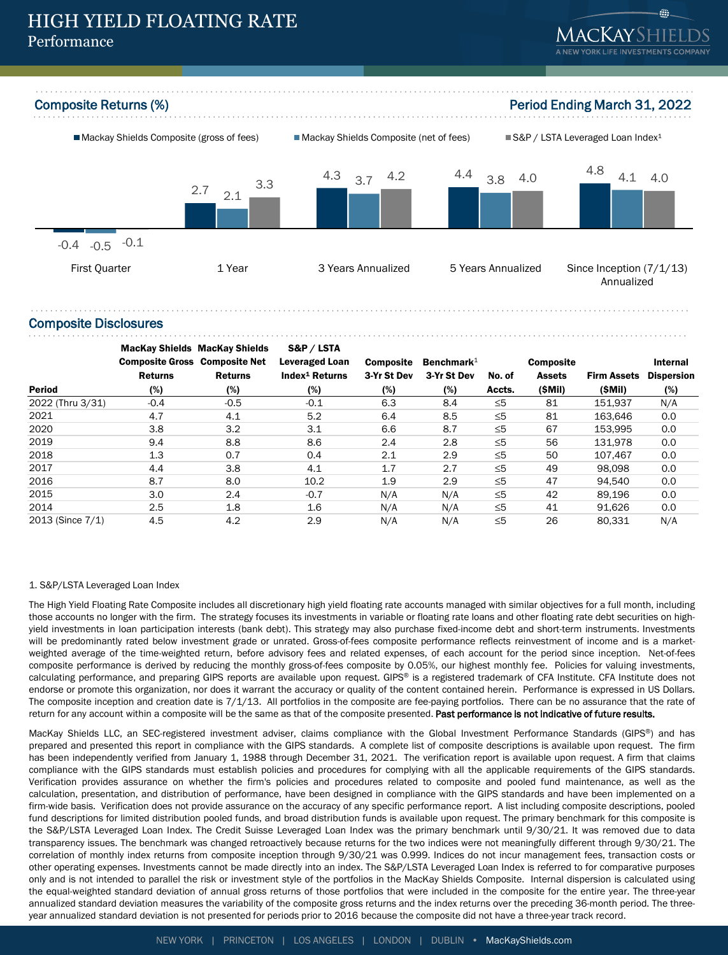



#### Composite Disclosures

|                  | <b>MacKay Shields MacKay Shields</b> |                | S&P / LSTA                 |                  |               |          |                  |                    |                   |
|------------------|--------------------------------------|----------------|----------------------------|------------------|---------------|----------|------------------|--------------------|-------------------|
|                  | <b>Composite Gross Composite Net</b> |                | <b>Leveraged Loan</b>      | <b>Composite</b> | Benchmark $1$ |          | <b>Composite</b> |                    | <b>Internal</b>   |
|                  | <b>Returns</b>                       | <b>Returns</b> | Index <sup>1</sup> Returns | 3-Yr St Dev      | 3-Yr St Dev   | No. of   | <b>Assets</b>    | <b>Firm Assets</b> | <b>Dispersion</b> |
| Period           | (%)                                  | (%)            | (%)                        | (%)              | (%)           | Accts.   | (SMil)           | (SMil)             | (%)               |
| 2022 (Thru 3/31) | $-0.4$                               | $-0.5$         | $-0.1$                     | 6.3              | 8.4           | $\leq 5$ | 81               | 151.937            | N/A               |
| 2021             | 4.7                                  | 4.1            | 5.2                        | 6.4              | 8.5           | ≤5       | 81               | 163.646            | 0.0               |
| 2020             | 3.8                                  | 3.2            | 3.1                        | 6.6              | 8.7           | $\leq 5$ | 67               | 153.995            | 0.0               |
| 2019             | 9.4                                  | 8.8            | 8.6                        | 2.4              | 2.8           | ≤5       | 56               | 131.978            | 0.0               |
| 2018             | 1.3                                  | 0.7            | 0.4                        | 2.1              | 2.9           | ≤5       | 50               | 107.467            | 0.0               |
| 2017             | 4.4                                  | 3.8            | 4.1                        | 1.7              | 2.7           | ≤5       | 49               | 98.098             | 0.0               |
| 2016             | 8.7                                  | 8.0            | 10.2                       | 1.9              | 2.9           | $\leq 5$ | 47               | 94.540             | 0.0               |
| 2015             | 3.0                                  | 2.4            | $-0.7$                     | N/A              | N/A           | $\leq 5$ | 42               | 89.196             | 0.0               |
| 2014             | 2.5                                  | 1.8            | 1.6                        | N/A              | N/A           | $\leq 5$ | 41               | 91.626             | 0.0               |
| 2013 (Since 7/1) | 4.5                                  | 4.2            | 2.9                        | N/A              | N/A           | $\leq 5$ | 26               | 80.331             | N/A               |

#### 1. S&P/LSTA Leveraged Loan Index

The High Yield Floating Rate Composite includes all discretionary high yield floating rate accounts managed with similar objectives for a full month, including those accounts no longer with the firm. The strategy focuses its investments in variable or floating rate loans and other floating rate debt securities on highyield investments in loan participation interests (bank debt). This strategy may also purchase fixed-income debt and short-term instruments. Investments will be predominantly rated below investment grade or unrated. Gross-of-fees composite performance reflects reinvestment of income and is a marketweighted average of the time-weighted return, before advisory fees and related expenses, of each account for the period since inception. Net-of-fees composite performance is derived by reducing the monthly gross-of-fees composite by 0.05%, our highest monthly fee. Policies for valuing investments, calculating performance, and preparing GIPS reports are available upon request. GIPS® is a registered trademark of CFA Institute. CFA Institute does not endorse or promote this organization, nor does it warrant the accuracy or quality of the content contained herein. Performance is expressed in US Dollars. The composite inception and creation date is 7/1/13. All portfolios in the composite are fee-paying portfolios. There can be no assurance that the rate of return for any account within a composite will be the same as that of the composite presented. Past performance is not indicative of future results.

MacKay Shields LLC, an SEC-registered investment adviser, claims compliance with the Global Investment Performance Standards (GIPS®) and has prepared and presented this report in compliance with the GIPS standards. A complete list of composite descriptions is available upon request. The firm has been independently verified from January 1, 1988 through December 31, 2021. The verification report is available upon request. A firm that claims compliance with the GIPS standards must establish policies and procedures for complying with all the applicable requirements of the GIPS standards. Verification provides assurance on whether the firm's policies and procedures related to composite and pooled fund maintenance, as well as the calculation, presentation, and distribution of performance, have been designed in compliance with the GIPS standards and have been implemented on a firm-wide basis. Verification does not provide assurance on the accuracy of any specific performance report. A list including composite descriptions, pooled fund descriptions for limited distribution pooled funds, and broad distribution funds is available upon request. The primary benchmark for this composite is the S&P/LSTA Leveraged Loan Index. The Credit Suisse Leveraged Loan Index was the primary benchmark until 9/30/21. It was removed due to data transparency issues. The benchmark was changed retroactively because returns for the two indices were not meaningfully different through 9/30/21. The correlation of monthly index returns from composite inception through 9/30/21 was 0.999. Indices do not incur management fees, transaction costs or other operating expenses. Investments cannot be made directly into an index. The S&P/LSTA Leveraged Loan Index is referred to for comparative purposes only and is not intended to parallel the risk or investment style of the portfolios in the MacKay Shields Composite. Internal dispersion is calculated using the equal-weighted standard deviation of annual gross returns of those portfolios that were included in the composite for the entire year. The three-year annualized standard deviation measures the variability of the composite gross returns and the index returns over the preceding 36-month period. The threeyear annualized standard deviation is not presented for periods prior to 2016 because the composite did not have a three-year track record.